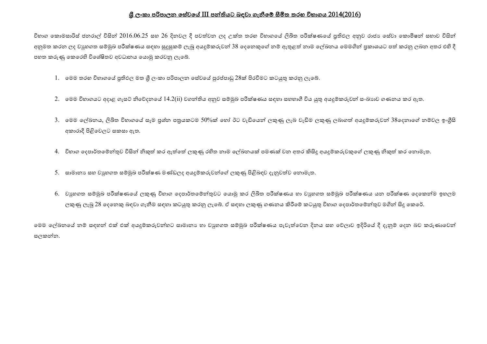## <u>ශී ලංකා පරිපාලන සේවයේ III පන්තියට බඳවා ගැනීමේ සීමිත තරහ විභාගය 2014(2016)</u>

චිහාග කොමසාරිස් ජනරාල් විසින් 2016.06.25 සහ 26 දිනවල දී පවත්වන ලද උක්ත තරහ චිහාගයේ ලිබිත පරීක්ෂණයේ පුතිඵල අනුව රාජා සේවා කොමිෂන් සභාව විසින් අනුමත කරන ලද වයුහගත සම්මුඛ පරීක්ෂණය සඳහා සුදුසුකම් ලැබූ අයදුම්කරුවන් 38 දෙනෙකුගේ නම් ඇතුළත් නාම ලේඛනය මෙමගින් පුකාශයට පත් කරනු ලබන අතර එහි දී පහත කරුණු කෙරෙහි විශේෂිතව අවධානය යොමු කරවනු ලැබේ.

- 1. මෙම තරහ විභාගයේ පුතිඵල මත ශී ලංකා පරිපාලන සේවයේ පුරප්පාඩු 28ක් පිරවීමට කටයුතු කරනු ලැබේ.
- 2. මෙම විභාගයට අදාළ ගැසට් නිවේදනයේ 14.2(ii) වගන්තිය අනුව සම්මුඛ පරීක්ෂණය සඳහා සහභාගී විය යුතු අයදුම්කරුවන් සංඛාාව ගණනය කර ඇත.
- 3. මෙම ලේඛනය, ලිඛිත විභාගයේ සෑම පුශ්න පතුයකටම 50%ක් හෝ ඊට වැඩියෙන් ලකුණු ලැබ වැඩිම ලකුණු ලබාගත් අයදුම්කරුවන් 38ලෙනාගේ නම්වල ඉංගීසි අකාරාදී පිළිවෙලට සකසා ඇත.
- 4. චිභාග දෙපාර්තමේන්තුව විසින් නිකුත් කර ඇත්තේ ලකුණු රහිත නාම ලේඛනයක් පමණක් වන අතර කිසිදූ අයදූම්කරුවකුගේ ලකුණු නිකුත් කර නොමැත.
- 5. සාමානා සහ වාූහගත සම්මුඛ පරීක්ෂණ මණ්ඩලද අයදූම්කරුවන්ගේ ලකුණු පිළිබඳව දැනුවත්ව නොමැත.
- 6. වාහගත සම්මුඛ පරීක්ෂණයේ ලකුණු විභාග දෙපාර්තමේන්තුවට යොමු කර ලිඛිත පරීක්ෂණය හා වාහගත සම්මුඛ පරීක්ෂණය යන පරීක්ෂණ දෙකෙන්ම ඉහලම ලකුණු ලැබූ 28 දෙනෙකු බඳවා ගැනීම සඳහා කටයුතු කරනු ලැබේ. ඒ සඳහා ලකුණු ගණනය කිරීමේ කටයුතු විභාග දෙපාර්තමේන්තුව මගින් සිදූ කෙරේ.

ෙමම ලේඛනයේ නම් සඳහන් එක් එක් අයදූම්කරුවන්හට සාමානා හා වාූහගත සම්මුඛ පරීක්ෂණය පැවැත්වෙන දිනය සහ වේලාව ඉදිරියේ දී දැනුම් දෙන බව කරුණාවෙන් සලකන්න.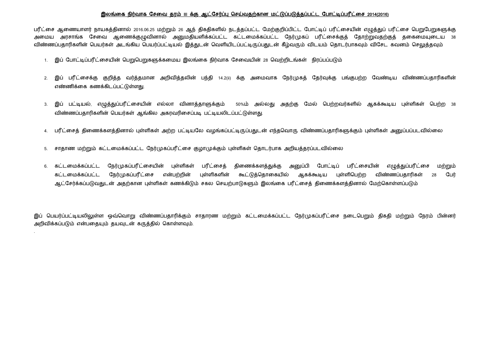## இலங்கை நிர்வாக சேவை தரம் III க்கு ஆட்சேர்ப்பு செய்வதற்கான மட்டுப்படுத்தப்பட்ட போட்டிப்பரீட்சை 2014(2016)

பரீட்சை ஆணையாளர் நாயகத்தினால் 2016.06.25 மற்றும் 26 ஆந் திகதிகளில் நடத்தப்பட்ட மேற்குறிப்பிட்ட போட்டிப் பரீட்சையின் எழுத்துப் பரீட்சை பெறுபேறுகளுக்கு அமைய அரசாங்க சேவை ஆணைக்குமுவினால் அறுமதியளிக்கப்பட்ட கட்டமைக்கப்பட்ட நேர்முகப் பரீட்சைக்குக் கோற்றுவதற்குக் ககைமையடைய 38 விண்ணப்பதாரிகளின் பெயர்கள் அடங்கிய பெயர்ப்பட்டியல் இத்துடன் வெளியிடப்பட்டிருப்பதுடன் கீழ்வரும் விடயம் தொடர்பாகவும் விசேட கவனம் செலுத்தவும்

- 1. இப் போட்டிப்பரீட்சையின் பெறுபெறுகளுக்கமைய இலங்கை நிர்வாக சேவையின் 28 வெற்றிடங்கள் நிரப்பப்படும்
- 2. இப் பரீட்சைக்கு குறித்த வர்த்தமான அறிவித்தலின் பந்தி 14.2(ii) க்கு அமைவாக நேர்முகத் தேர்வுக்கு பங்குபற்ற வேண்டிய விண்ணப்பதாரிகளின் எண்ணிக்கை கணக்கிடப்பட்டுள்ளது.
- 3. இப் பட்டியல், எழுத்துப்பரீட்சையின் எல்லா வினாத்தாளுக்கும் 50%ம் அல்லது அதற்கு மேல் பெற்றவர்களில் ஆகக்கூடிய புள்ளிகள் பெற்ற 38 விண்ணப்பதாரிகளின் பெயர்கள் ஆங்கில அகரவரிசைப்படி பட்டியலிடப்பட்டுள்ளது.
- 4. பரீட்சைத் திணைக்களத்தினால் புள்ளிகள் அற்ற பட்டியலே வமங்கப்பட்டிருப்பதுடன் எந்தவொரு விண்ணப்பதாரிகளுக்கும் பள்ளிகள் அறைப்பப்படவில்லை
- 5. சாதாண மற்றும் கட்டமைக்கப்பட்ட நேர்முகப்பரீட்சை குழாமுக்கும் புள்ளிகள் தொடர்பாக அறியத்தரப்படவில்லை

.

6. கட்டமைக்கப்பட்ட நேர்முகப்பரீட்சையின் புள்ளிகள் பரீட்சைத் திணைக்களத்துக்கு அனுப்பி போட்டிப் பரீட்சையின் எழுத்துப்பரீட்சை மற்றும் கட்டமைக்கப்பட்ட நேர்முகப்பரீட்சை என்பற்றின் புள்ளிகளின் கூட்டுக்கொகையில் ஆகக்கூடிய பள்ளிபெற்ற விண்ணப்பகாரிகள் 28 பேர் ஆட்சேர்க்கப்படுவதுடன் அதற்கான புள்ளிகள் கணக்கிடும் சகல செயற்பாடுகளும் இலங்கை பரீட்சைக் கிணைக்களக்கினால் மேற்கொள்ளப்படும்

இப் பெயர்ப்பட்டியலிலுள்ள ஒவ்வொறு விண்ணப்பதாரிக்கும் சாதாரண மற்றும் கட்டமைக்கப்பட்ட நேர்முகப்பரீட்சை நடைபெறும் திகதி மற்றும் நேரம் பின்னர் அறிவிக்கப்படும் என்பதையும் தயவுடன் கருத்தில் கொள்ளவும்.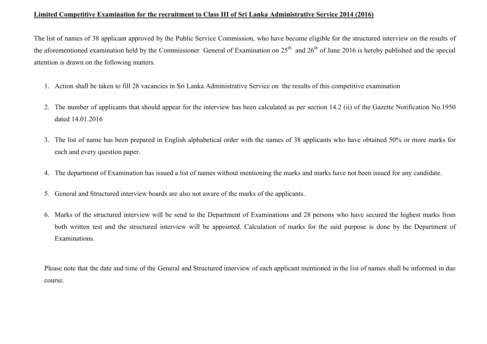## Limited Competitive Examination for the recruitment to Class III of Sri Lanka Administrative Service 2014 (2016)

The list of names of 38 applicant approved by the Public Service Commission, who have become eligible for the structured interview on the results of the aforementioned examination held by the Commissioner General of Examination on  $25<sup>th</sup>$  and  $26<sup>th</sup>$  of June 2016 is hereby published and the special attention is drawn on the following matters.

- 1. Action shall be taken to fill 28 vacancies in Sri Lanka Administrative Service on the results of this competitive examination
- 2. The number of applicants that should appear for the interview has been calculated as per section 14.2 (ii) of the Gazette Notification No.1950 dated 14.01.2016
- 3. The list of name has been prepared in English alphabetical order with the names of 38 applicants who have obtained 50% or more marks for each and every question paper.
- 4. The department of Examination has issued a list of names without mentioning the marks and marks have not been issued for any candidate.
- 5. General and Structured interview boards are also not aware of the marks of the applicants.
- 6. Marks of the structured interview will be send to the Department of Examinations and 28 persons who have secured the highest marks from both written test and the structured interview will be appointed. Calculation of marks for the said purpose is done by the Department of Examinations.

Please note that the date and time of the General and Structured interview of each applicant mentioned in the list of names shall be informed in due course.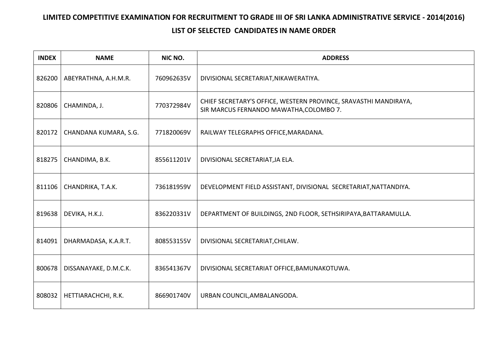## LIMITED COMPETITIVE EXAMINATION FOR RECRUITMENT TO GRADE III OF SRI LANKA ADMINISTRATIVE SERVICE - 2014(2016) LIST OF SELECTED CANDIDATES IN NAME ORDER

| <b>INDEX</b> | <b>NAME</b>                   | NIC NO.     | <b>ADDRESS</b>                                                                                              |
|--------------|-------------------------------|-------------|-------------------------------------------------------------------------------------------------------------|
| 826200       | ABEYRATHNA, A.H.M.R.          | 760962635V  | DIVISIONAL SECRETARIAT, NIKAWERATIYA.                                                                       |
| 820806       | CHAMINDA, J.                  | 770372984V  | CHIEF SECRETARY'S OFFICE, WESTERN PROVINCE, SRAVASTHI MANDIRAYA,<br>SIR MARCUS FERNANDO MAWATHA, COLOMBO 7. |
| 820172       | CHANDANA KUMARA, S.G.         | 771820069V  | RAILWAY TELEGRAPHS OFFICE, MARADANA.                                                                        |
| 818275       | CHANDIMA, B.K.                | 855611201V  | DIVISIONAL SECRETARIAT, JA ELA.                                                                             |
| 811106       | CHANDRIKA, T.A.K.             | 736181959V  | DEVELOPMENT FIELD ASSISTANT, DIVISIONAL SECRETARIAT, NATTANDIYA.                                            |
| 819638       | DEVIKA, H.K.J.                | 836220331V  | DEPARTMENT OF BUILDINGS, 2ND FLOOR, SETHSIRIPAYA, BATTARAMULLA.                                             |
| 814091       | DHARMADASA, K.A.R.T.          | 808553155V  | DIVISIONAL SECRETARIAT, CHILAW.                                                                             |
|              | ROOG TO LOO CAN AVAKE ON A CK | Q2654126711 | DIVICIONAL CECPETARIAT OFFICE RAMIINAKOTLIMA                                                                |

| 800678 | DISSANAYAKE, D.M.C.K. | 836541367V | DIVISIONAL SECRETARIAT OFFICE, BAMUNAKOTUWA. |
|--------|-----------------------|------------|----------------------------------------------|
| 808032 | HETTIARACHCHI, R.K.   | 866901740V | URBAN COUNCIL,AMBALANGODA.                   |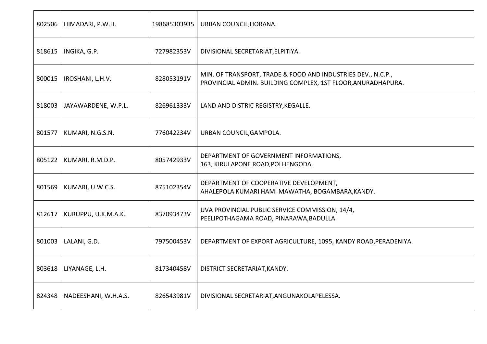| 802506 | HIMADARI, P.W.H.     | 198685303935 | URBAN COUNCIL, HORANA.                                                                                                       |
|--------|----------------------|--------------|------------------------------------------------------------------------------------------------------------------------------|
| 818615 | INGIKA, G.P.         | 727982353V   | DIVISIONAL SECRETARIAT, ELPITIYA.                                                                                            |
| 800015 | IROSHANI, L.H.V.     | 828053191V   | MIN. OF TRANSPORT, TRADE & FOOD AND INDUSTRIES DEV., N.C.P.,<br>PROVINCIAL ADMIN. BUILDING COMPLEX, 1ST FLOOR, ANURADHAPURA. |
| 818003 | JAYAWARDENE, W.P.L.  | 826961333V   | LAND AND DISTRIC REGISTRY, KEGALLE.                                                                                          |
| 801577 | KUMARI, N.G.S.N.     | 776042234V   | URBAN COUNCIL, GAMPOLA.                                                                                                      |
| 805122 | KUMARI, R.M.D.P.     | 805742933V   | DEPARTMENT OF GOVERNMENT INFORMATIONS,<br>163, KIRULAPONE ROAD, POLHENGODA.                                                  |
| 801569 | KUMARI, U.W.C.S.     | 875102354V   | DEPARTMENT OF COOPERATIVE DEVELOPMENT,<br>AHALEPOLA KUMARI HAMI MAWATHA, BOGAMBARA, KANDY.                                   |
| 812617 | KURUPPU, U.K.M.A.K.  | 837093473V   | UVA PROVINCIAL PUBLIC SERVICE COMMISSION, 14/4,<br>PEELIPOTHAGAMA ROAD, PINARAWA, BADULLA.                                   |
| 801003 | LALANI, G.D.         | 797500453V   | DEPARTMENT OF EXPORT AGRICULTURE, 1095, KANDY ROAD, PERADENIYA.                                                              |
| 803618 | LIYANAGE, L.H.       | 817340458V   | DISTRICT SECRETARIAT, KANDY.                                                                                                 |
| 824348 | NADEESHANI, W.H.A.S. | 826543981V   | DIVISIONAL SECRETARIAT, ANGUNAKOLAPELESSA.                                                                                   |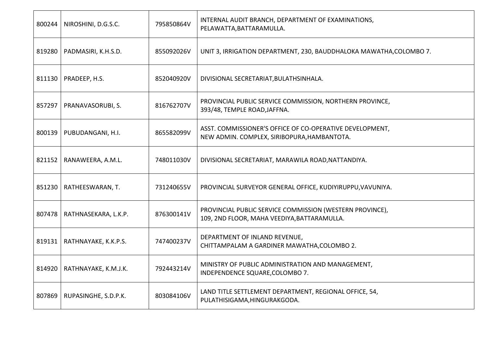| 800244 | NIROSHINI, D.G.S.C.  | 795850864V | INTERNAL AUDIT BRANCH, DEPARTMENT OF EXAMINATIONS,<br>PELAWATTA, BATTARAMULLA.                          |
|--------|----------------------|------------|---------------------------------------------------------------------------------------------------------|
| 819280 | PADMASIRI, K.H.S.D.  | 855092026V | UNIT 3, IRRIGATION DEPARTMENT, 230, BAUDDHALOKA MAWATHA, COLOMBO 7.                                     |
| 811130 | PRADEEP, H.S.        | 852040920V | DIVISIONAL SECRETARIAT, BULATHSINHALA.                                                                  |
| 857297 | PRANAVASORUBI, S.    | 816762707V | PROVINCIAL PUBLIC SERVICE COMMISSION, NORTHERN PROVINCE,<br>393/48, TEMPLE ROAD, JAFFNA.                |
| 800139 | PUBUDANGANI, H.I.    | 865582099V | ASST. COMMISSIONER'S OFFICE OF CO-OPERATIVE DEVELOPMENT,<br>NEW ADMIN. COMPLEX, SIRIBOPURA, HAMBANTOTA. |
| 821152 | RANAWEERA, A.M.L.    | 748011030V | DIVISIONAL SECRETARIAT, MARAWILA ROAD, NATTANDIYA.                                                      |
| 851230 | RATHEESWARAN, T.     | 731240655V | PROVINCIAL SURVEYOR GENERAL OFFICE, KUDIYIRUPPU, VAVUNIYA.                                              |
| 807478 | RATHNASEKARA, L.K.P. | 876300141V | PROVINCIAL PUBLIC SERVICE COMMISSION (WESTERN PROVINCE),<br>109, 2ND FLOOR, MAHA VEEDIYA, BATTARAMULLA. |
| 819131 | RATHNAYAKE, K.K.P.S. | 747400237V | DEPARTMENT OF INLAND REVENUE,<br>CHITTAMPALAM A GARDINER MAWATHA, COLOMBO 2.                            |
| 814920 | RATHNAYAKE, K.M.J.K. | 792443214V | MINISTRY OF PUBLIC ADMINISTRATION AND MANAGEMENT,<br>INDEPENDENCE SQUARE, COLOMBO 7.                    |
| 807869 | RUPASINGHE, S.D.P.K. | 803084106V | LAND TITLE SETTLEMENT DEPARTMENT, REGIONAL OFFICE, 54,<br>PULATHISIGAMA, HINGURAKGODA.                  |